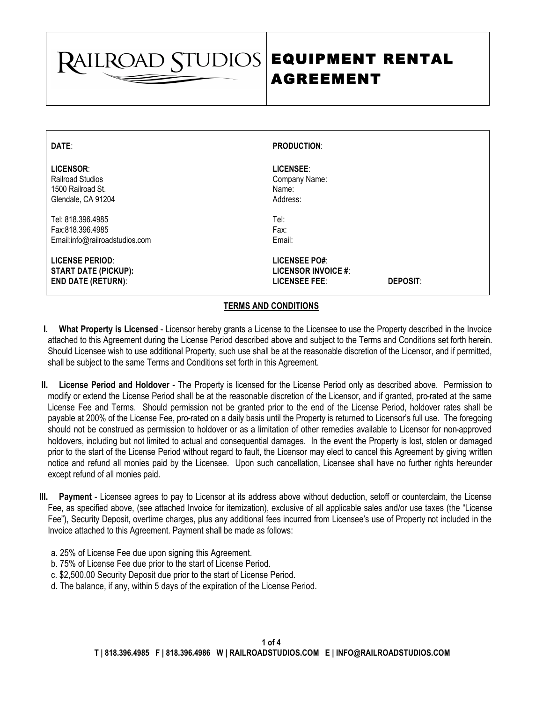**RAILROAD STUDIOS** 

## EQUIPMENT RENTAL AGREEMENT

| DATE:                                                                              | <b>PRODUCTION:</b>                                                                            |
|------------------------------------------------------------------------------------|-----------------------------------------------------------------------------------------------|
| LICENSOR:                                                                          | LICENSEE:                                                                                     |
| <b>Railroad Studios</b>                                                            | Company Name:                                                                                 |
| 1500 Railroad St.                                                                  | Name:                                                                                         |
| Glendale, CA 91204                                                                 | Address:                                                                                      |
| Tel: 818.396.4985                                                                  | Tel:                                                                                          |
| Fax:818.396.4985                                                                   | Fax:                                                                                          |
| Email:info@railroadstudios.com                                                     | Email:                                                                                        |
| <b>LICENSE PERIOD:</b><br><b>START DATE (PICKUP):</b><br><b>END DATE (RETURN):</b> | <b>LICENSEE PO#:</b><br><b>LICENSOR INVOICE #:</b><br><b>LICENSEE FEE:</b><br><b>DEPOSIT:</b> |

 $\overline{\phantom{a}}$ 

## **TERMS AND CONDITIONS**

- **I. What Property is Licensed** Licensor hereby grants a License to the Licensee to use the Property described in the Invoice attached to this Agreement during the License Period described above and subject to the Terms and Conditions set forth herein. Should Licensee wish to use additional Property, such use shall be at the reasonable discretion of the Licensor, and if permitted, shall be subject to the same Terms and Conditions set forth in this Agreement.
- **II. License Period and Holdover -** The Property is licensed for the License Period only as described above. Permission to modify or extend the License Period shall be at the reasonable discretion of the Licensor, and if granted, pro-rated at the same License Fee and Terms. Should permission not be granted prior to the end of the License Period, holdover rates shall be payable at 200% of the License Fee, pro-rated on a daily basis until the Property is returned to Licensor's full use. The foregoing should not be construed as permission to holdover or as a limitation of other remedies available to Licensor for non-approved holdovers, including but not limited to actual and consequential damages. In the event the Property is lost, stolen or damaged prior to the start of the License Period without regard to fault, the Licensor may elect to cancel this Agreement by giving written notice and refund all monies paid by the Licensee. Upon such cancellation, Licensee shall have no further rights hereunder except refund of all monies paid.
- **III. Payment**  Licensee agrees to pay to Licensor at its address above without deduction, setoff or counterclaim, the License Fee, as specified above, (see attached Invoice for itemization), exclusive of all applicable sales and/or use taxes (the "License Fee"), Security Deposit, overtime charges, plus any additional fees incurred from Licensee's use of Property not included in the Invoice attached to this Agreement. Payment shall be made as follows:
	- a. 25% of License Fee due upon signing this Agreement.
	- b. 75% of License Fee due prior to the start of License Period.
	- c. \$2,500.00 Security Deposit due prior to the start of License Period.
	- d. The balance, if any, within 5 days of the expiration of the License Period.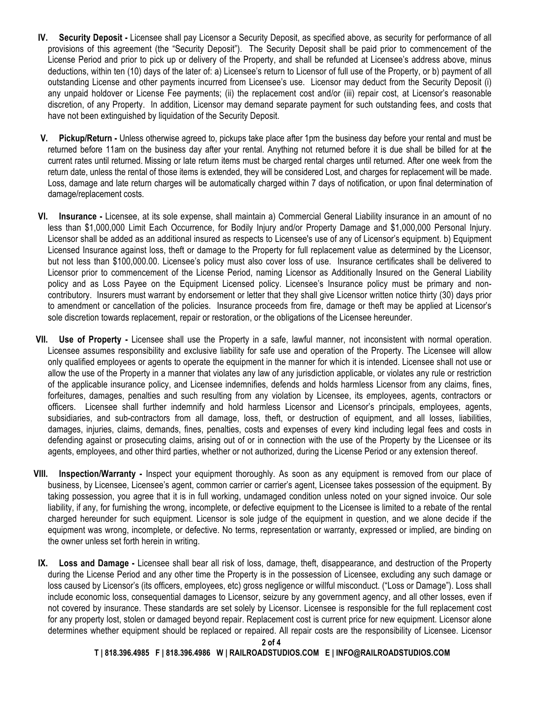- **IV. Security Deposit -** Licensee shall pay Licensor a Security Deposit, as specified above, as security for performance of all provisions of this agreement (the "Security Deposit"). The Security Deposit shall be paid prior to commencement of the License Period and prior to pick up or delivery of the Property, and shall be refunded at Licensee's address above, minus deductions, within ten (10) days of the later of: a) Licensee's return to Licensor of full use of the Property, or b) payment of all outstanding License and other payments incurred from Licensee's use. Licensor may deduct from the Security Deposit (i) any unpaid holdover or License Fee payments; (ii) the replacement cost and/or (iii) repair cost, at Licensor's reasonable discretion, of any Property. In addition, Licensor may demand separate payment for such outstanding fees, and costs that have not been extinguished by liquidation of the Security Deposit.
- **V. Pickup/Return -** Unless otherwise agreed to, pickups take place after 1pm the business day before your rental and must be returned before 11am on the business day after your rental. Anything not returned before it is due shall be billed for at the current rates until returned. Missing or late return items must be charged rental charges until returned. After one week from the return date, unless the rental of those items is extended, they will be considered Lost, and charges for replacement will be made. Loss, damage and late return charges will be automatically charged within 7 days of notification, or upon final determination of damage/replacement costs.
- **VI. Insurance -** Licensee, at its sole expense, shall maintain a) Commercial General Liability insurance in an amount of no less than \$1,000,000 Limit Each Occurrence, for Bodily Injury and/or Property Damage and \$1,000,000 Personal Injury. Licensor shall be added as an additional insured as respects to Licensee's use of any of Licensor's equipment. b) Equipment Licensed Insurance against loss, theft or damage to the Property for full replacement value as determined by the Licensor, but not less than \$100,000.00. Licensee's policy must also cover loss of use. Insurance certificates shall be delivered to Licensor prior to commencement of the License Period, naming Licensor as Additionally Insured on the General Liability policy and as Loss Payee on the Equipment Licensed policy. Licensee's Insurance policy must be primary and noncontributory. Insurers must warrant by endorsement or letter that they shall give Licensor written notice thirty (30) days prior to amendment or cancellation of the policies. Insurance proceeds from fire, damage or theft may be applied at Licensor's sole discretion towards replacement, repair or restoration, or the obligations of the Licensee hereunder.
- **VII. Use of Property -** Licensee shall use the Property in a safe, lawful manner, not inconsistent with normal operation. Licensee assumes responsibility and exclusive liability for safe use and operation of the Property. The Licensee will allow only qualified employees or agents to operate the equipment in the manner for which it is intended. Licensee shall not use or allow the use of the Property in a manner that violates any law of any jurisdiction applicable, or violates any rule or restriction of the applicable insurance policy, and Licensee indemnifies, defends and holds harmless Licensor from any claims, fines, forfeitures, damages, penalties and such resulting from any violation by Licensee, its employees, agents, contractors or officers. Licensee shall further indemnify and hold harmless Licensor and Licensor's principals, employees, agents, subsidiaries, and sub-contractors from all damage, loss, theft, or destruction of equipment, and all losses, liabilities, damages, injuries, claims, demands, fines, penalties, costs and expenses of every kind including legal fees and costs in defending against or prosecuting claims, arising out of or in connection with the use of the Property by the Licensee or its agents, employees, and other third parties, whether or not authorized, during the License Period or any extension thereof.
- **VIII. Inspection/Warranty -** Inspect your equipment thoroughly. As soon as any equipment is removed from our place of business, by Licensee, Licensee's agent, common carrier or carrier's agent, Licensee takes possession of the equipment. By taking possession, you agree that it is in full working, undamaged condition unless noted on your signed invoice. Our sole liability, if any, for furnishing the wrong, incomplete, or defective equipment to the Licensee is limited to a rebate of the rental charged hereunder for such equipment. Licensor is sole judge of the equipment in question, and we alone decide if the equipment was wrong, incomplete, or defective. No terms, representation or warranty, expressed or implied, are binding on the owner unless set forth herein in writing.
- **IX. Loss and Damage -** Licensee shall bear all risk of loss, damage, theft, disappearance, and destruction of the Property during the License Period and any other time the Property is in the possession of Licensee, excluding any such damage or loss caused by Licensor's (its officers, employees, etc) gross negligence or willful misconduct. ("Loss or Damage"). Loss shall include economic loss, consequential damages to Licensor, seizure by any government agency, and all other losses, even if not covered by insurance. These standards are set solely by Licensor. Licensee is responsible for the full replacement cost for any property lost, stolen or damaged beyond repair. Replacement cost is current price for new equipment. Licensor alone determines whether equipment should be replaced or repaired. All repair costs are the responsibility of Licensee. Licensor

 **T | 818.396.4985 F | 818.396.4986 W | RAILROADSTUDIOS.COM E | INFO@RAILROADSTUDIOS.COM**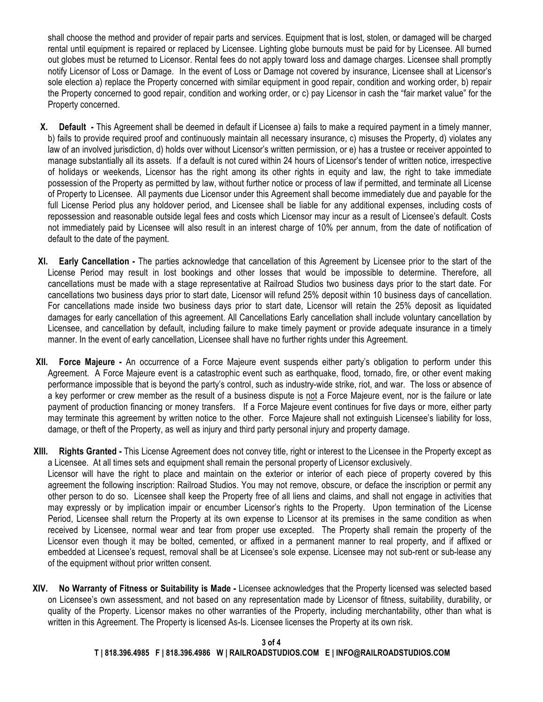shall choose the method and provider of repair parts and services. Equipment that is lost, stolen, or damaged will be charged rental until equipment is repaired or replaced by Licensee. Lighting globe burnouts must be paid for by Licensee. All burned out globes must be returned to Licensor. Rental fees do not apply toward loss and damage charges. Licensee shall promptly notify Licensor of Loss or Damage. In the event of Loss or Damage not covered by insurance, Licensee shall at Licensor's sole election a) replace the Property concerned with similar equipment in good repair, condition and working order, b) repair the Property concerned to good repair, condition and working order, or c) pay Licensor in cash the "fair market value" for the Property concerned.

- **X. Default -** This Agreement shall be deemed in default if Licensee a) fails to make a required payment in a timely manner, b) fails to provide required proof and continuously maintain all necessary insurance, c) misuses the Property, d) violates any law of an involved jurisdiction, d) holds over without Licensor's written permission, or e) has a trustee or receiver appointed to manage substantially all its assets. If a default is not cured within 24 hours of Licensor's tender of written notice, irrespective of holidays or weekends, Licensor has the right among its other rights in equity and law, the right to take immediate possession of the Property as permitted by law, without further notice or process of law if permitted, and terminate all License of Property to Licensee. All payments due Licensor under this Agreement shall become immediately due and payable for the full License Period plus any holdover period, and Licensee shall be liable for any additional expenses, including costs of repossession and reasonable outside legal fees and costs which Licensor may incur as a result of Licensee's default. Costs not immediately paid by Licensee will also result in an interest charge of 10% per annum, from the date of notification of default to the date of the payment.
- **XI. Early Cancellation -** The parties acknowledge that cancellation of this Agreement by Licensee prior to the start of the License Period may result in lost bookings and other losses that would be impossible to determine. Therefore, all cancellations must be made with a stage representative at Railroad Studios two business days prior to the start date. For cancellations two business days prior to start date, Licensor will refund 25% deposit within 10 business days of cancellation. For cancellations made inside two business days prior to start date, Licensor will retain the 25% deposit as liquidated damages for early cancellation of this agreement. All Cancellations Early cancellation shall include voluntary cancellation by Licensee, and cancellation by default, including failure to make timely payment or provide adequate insurance in a timely manner. In the event of early cancellation, Licensee shall have no further rights under this Agreement.
- **XII. Force Majeure -** An occurrence of a Force Majeure event suspends either party's obligation to perform under this Agreement. A Force Majeure event is a catastrophic event such as earthquake, flood, tornado, fire, or other event making performance impossible that is beyond the party's control, such as industry-wide strike, riot, and war. The loss or absence of a key performer or crew member as the result of a business dispute is not a Force Majeure event, nor is the failure or late payment of production financing or money transfers. If a Force Majeure event continues for five days or more, either party may terminate this agreement by written notice to the other. Force Majeure shall not extinguish Licensee's liability for loss, damage, or theft of the Property, as well as injury and third party personal injury and property damage.
- **XIII. Rights Granted -** This License Agreement does not convey title, right or interest to the Licensee in the Property except as a Licensee. At all times sets and equipment shall remain the personal property of Licensor exclusively.

Licensor will have the right to place and maintain on the exterior or interior of each piece of property covered by this agreement the following inscription: Railroad Studios. You may not remove, obscure, or deface the inscription or permit any other person to do so. Licensee shall keep the Property free of all liens and claims, and shall not engage in activities that may expressly or by implication impair or encumber Licensor's rights to the Property. Upon termination of the License Period, Licensee shall return the Property at its own expense to Licensor at its premises in the same condition as when received by Licensee, normal wear and tear from proper use excepted. The Property shall remain the property of the Licensor even though it may be bolted, cemented, or affixed in a permanent manner to real property, and if affixed or embedded at Licensee's request, removal shall be at Licensee's sole expense. Licensee may not sub-rent or sub-lease any of the equipment without prior written consent.

**XIV. No Warranty of Fitness or Suitability is Made -** Licensee acknowledges that the Property licensed was selected based on Licensee's own assessment, and not based on any representation made by Licensor of fitness, suitability, durability, or quality of the Property. Licensor makes no other warranties of the Property, including merchantability, other than what is written in this Agreement. The Property is licensed As-Is. Licensee licenses the Property at its own risk.